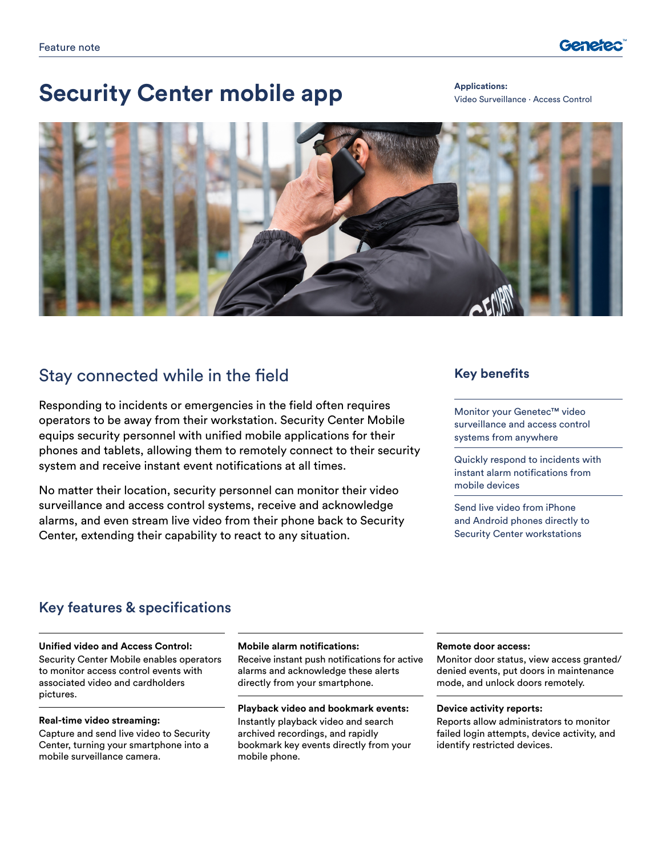

# **Security Center mobile app Applications:**

Video Surveillance ∙ Access Control



## Stay connected while in the field

Responding to incidents or emergencies in the field often requires operators to be away from their workstation. Security Center Mobile equips security personnel with unified mobile applications for their phones and tablets, allowing them to remotely connect to their security system and receive instant event notifications at all times.

No matter their location, security personnel can monitor their video surveillance and access control systems, receive and acknowledge alarms, and even stream live video from their phone back to Security Center, extending their capability to react to any situation.

### **Key benefits**

Monitor your Genetec™ video surveillance and access control systems from anywhere

Quickly respond to incidents with instant alarm notifications from mobile devices

Send live video from iPhone and Android phones directly to Security Center workstations

### Key features & specifications

#### **Unified video and Access Control:**

Security Center Mobile enables operators to monitor access control events with associated video and cardholders pictures.

#### **Real-time video streaming:**

Capture and send live video to Security Center, turning your smartphone into a mobile surveillance camera.

#### **Mobile alarm notifications:**

Receive instant push notifications for active alarms and acknowledge these alerts directly from your smartphone.

#### **Playback video and bookmark events:**

Instantly playback video and search archived recordings, and rapidly bookmark key events directly from your mobile phone.

#### **Remote door access:**

Monitor door status, view access granted/ denied events, put doors in maintenance mode, and unlock doors remotely.

#### **Device activity reports:**

Reports allow administrators to monitor failed login attempts, device activity, and identify restricted devices.